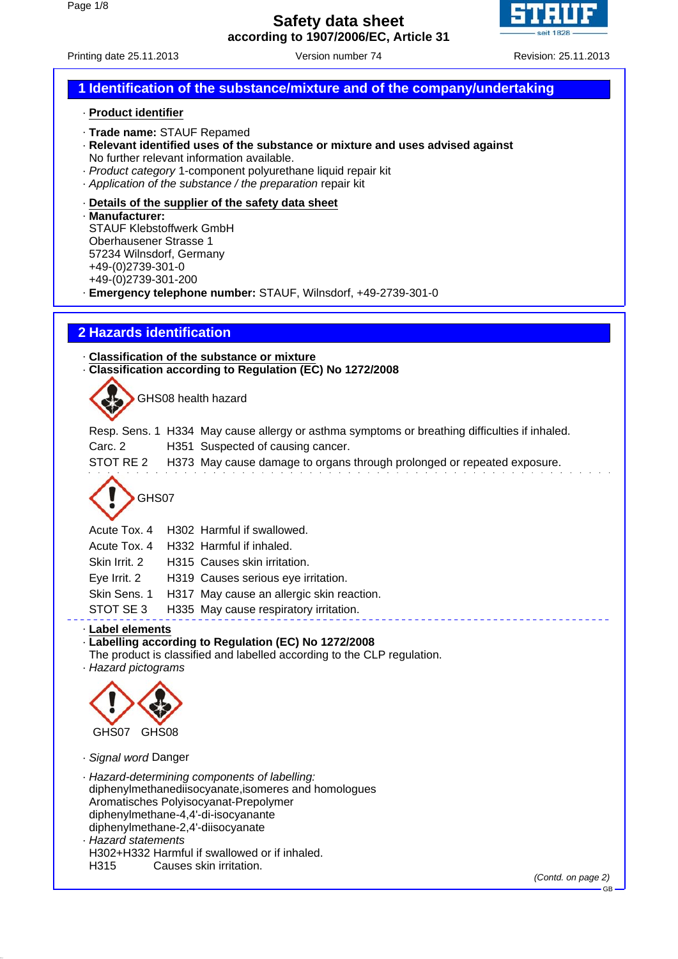

# Printing date 25.11.2013 Version number 74 Revision: 25.11.2013

# **1 Identification of the substance/mixture and of the company/undertaking**

#### · **Product identifier**

- · **Trade name:** STAUF Repamed
- · **Relevant identified uses of the substance or mixture and uses advised against** No further relevant information available.
- · *Product category* 1-component polyurethane liquid repair kit
- · *Application of the substance / the preparation* repair kit

#### · **Details of the supplier of the safety data sheet**

· **Manufacturer:** STAUF Klebstoffwerk GmbH Oberhausener Strasse 1 57234 Wilnsdorf, Germany +49-(0)2739-301-0 +49-(0)2739-301-200

· **Emergency telephone number:** STAUF, Wilnsdorf, +49-2739-301-0

# **2 Hazards identification**

· **Classification of the substance or mixture** · **Classification according to Regulation (EC) No 1272/2008**

GHS08 health hazard

Resp. Sens. 1 H334 May cause allergy or asthma symptoms or breathing difficulties if inhaled.

Carc. 2 H351 Suspected of causing cancer.

STOT RE 2 H373 May cause damage to organs through prolonged or repeated exposure.

<u> - - - - - - - - - - - -</u>

# GHS07

| Acute Tox. 4 |  | H302 Harmful if swallowed. |
|--------------|--|----------------------------|
|--------------|--|----------------------------|

Acute Tox. 4 H332 Harmful if inhaled.

Skin Irrit. 2 H315 Causes skin irritation.

- Eye Irrit. 2 H319 Causes serious eye irritation.
- Skin Sens. 1 H317 May cause an allergic skin reaction.
- STOT SE 3 H335 May cause respiratory irritation.

### · **Label elements**

· **Labelling according to Regulation (EC) No 1272/2008**

The product is classified and labelled according to the CLP regulation.

· *Hazard pictograms*



· *Signal word* Danger

· *Hazard-determining components of labelling:* diphenylmethanediisocyanate,isomeres and homologues Aromatisches Polyisocyanat-Prepolymer diphenylmethane-4,4'-di-isocyanante diphenylmethane-2,4'-diisocyanate · *Hazard statements* H302+H332 Harmful if swallowed or if inhaled.

H315 Causes skin irritation.

*(Contd. on page 2)*

GB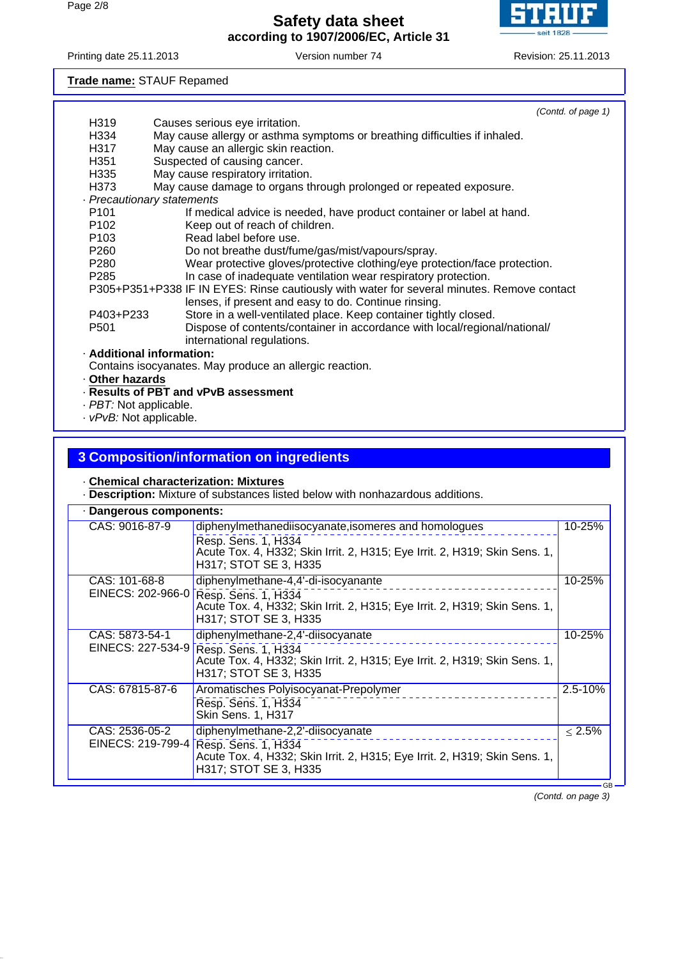

Printing date 25.11.2013 Version number 74 Revision: 25.11.2013

**Trade name:** STAUF Repamed

|                  | (Contd. of page 1)                                                                         |
|------------------|--------------------------------------------------------------------------------------------|
| H319             | Causes serious eye irritation.                                                             |
| H334             | May cause allergy or asthma symptoms or breathing difficulties if inhaled.                 |
| H317             | May cause an allergic skin reaction.                                                       |
| H <sub>351</sub> | Suspected of causing cancer.                                                               |
| H335             | May cause respiratory irritation.                                                          |
| H373             | May cause damage to organs through prolonged or repeated exposure.                         |
|                  | · Precautionary statements                                                                 |
| P <sub>101</sub> | If medical advice is needed, have product container or label at hand.                      |
| P <sub>102</sub> | Keep out of reach of children.                                                             |
| P <sub>103</sub> | Read label before use.                                                                     |
| P <sub>260</sub> | Do not breathe dust/fume/gas/mist/vapours/spray.                                           |
| P280             | Wear protective gloves/protective clothing/eye protection/face protection.                 |
| P <sub>285</sub> | In case of inadequate ventilation wear respiratory protection.                             |
|                  | P305+P351+P338 IF IN EYES: Rinse cautiously with water for several minutes. Remove contact |
|                  | lenses, if present and easy to do. Continue rinsing.                                       |
| P403+P233        | Store in a well-ventilated place. Keep container tightly closed.                           |
| P <sub>501</sub> | Dispose of contents/container in accordance with local/regional/national/                  |
|                  | international regulations.                                                                 |
|                  | · Additional information:                                                                  |
|                  | Contains isocyanates. May produce an allergic reaction.                                    |

· **Other hazards**

- · **Results of PBT and vPvB assessment**
- · *PBT:* Not applicable.
- · *vPvB:* Not applicable.

### **3 Composition/information on ingredients**

#### · **Chemical characterization: Mixtures**

· **Description:** Mixture of substances listed below with nonhazardous additions.

| · Dangerous components: |                                                                                                                                                                                     |              |
|-------------------------|-------------------------------------------------------------------------------------------------------------------------------------------------------------------------------------|--------------|
| CAS: 9016-87-9          | diphenylmethanediisocyanate, isomeres and homologues<br>Resp. Sens. 1, H334<br>Acute Tox. 4, H332; Skin Irrit. 2, H315; Eye Irrit. 2, H319; Skin Sens. 1,<br>H317; STOT SE 3, H335  | 10-25%       |
| CAS: 101-68-8           | diphenylmethane-4,4'-di-isocyanante<br>EINECS: 202-966-0 Resp. Sens. 1, H334<br>Acute Tox. 4, H332; Skin Irrit. 2, H315; Eye Irrit. 2, H319; Skin Sens. 1,<br>H317; STOT SE 3, H335 | 10-25%       |
| CAS: 5873-54-1          | diphenylmethane-2,4'-diisocyanate<br>EINECS: 227-534-9 Resp. Sens. 1, H334<br>Acute Tox. 4, H332; Skin Irrit. 2, H315; Eye Irrit. 2, H319; Skin Sens. 1,<br>H317; STOT SE 3, H335   | 10-25%       |
| CAS: 67815-87-6         | Aromatisches Polyisocyanat-Prepolymer<br>Resp. Sens. 1, H334<br><b>Skin Sens. 1, H317</b>                                                                                           | 2.5-10%      |
| CAS: 2536-05-2          | diphenylmethane-2,2'-diisocyanate<br>EINECS: 219-799-4 Resp. Sens. 1, H334<br>Acute Tox. 4, H332; Skin Irrit. 2, H315; Eye Irrit. 2, H319; Skin Sens. 1,<br>H317; STOT SE 3, H335   | $\leq 2.5\%$ |

*(Contd. on page 3)*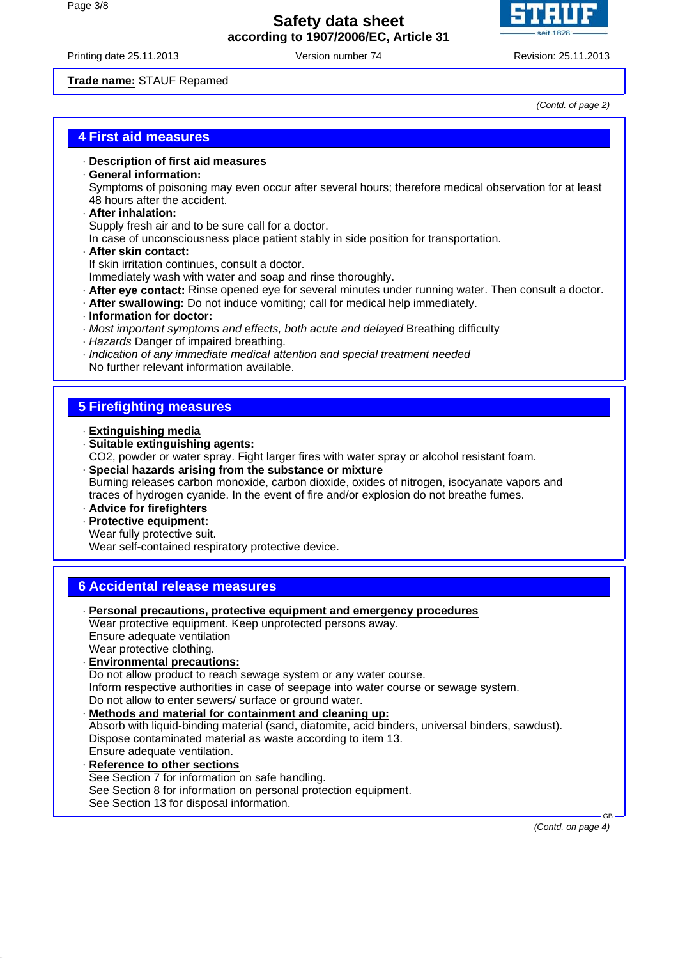

Printing date 25.11.2013 Version number 74 Revision: 25.11.2013

**Trade name:** STAUF Repamed

*(Contd. of page 2)*

### **4 First aid measures**

- · **Description of first aid measures**
- · **General information:**

Symptoms of poisoning may even occur after several hours; therefore medical observation for at least 48 hours after the accident.

· **After inhalation:**

Supply fresh air and to be sure call for a doctor.

- In case of unconsciousness place patient stably in side position for transportation.
- · **After skin contact:**

If skin irritation continues, consult a doctor.

Immediately wash with water and soap and rinse thoroughly.

- · **After eye contact:** Rinse opened eye for several minutes under running water. Then consult a doctor.
- · **After swallowing:** Do not induce vomiting; call for medical help immediately.
- · **Information for doctor:**
- · *Most important symptoms and effects, both acute and delayed* Breathing difficulty
- · *Hazards* Danger of impaired breathing.
- · *Indication of any immediate medical attention and special treatment needed* No further relevant information available.

## **5 Firefighting measures**

- · **Extinguishing media**
- · **Suitable extinguishing agents:** CO2, powder or water spray. Fight larger fires with water spray or alcohol resistant foam.
- · **Special hazards arising from the substance or mixture** Burning releases carbon monoxide, carbon dioxide, oxides of nitrogen, isocyanate vapors and traces of hydrogen cyanide. In the event of fire and/or explosion do not breathe fumes.

· **Advice for firefighters**

- · **Protective equipment:**
- Wear fully protective suit.

Wear self-contained respiratory protective device.

### **6 Accidental release measures**

- · **Personal precautions, protective equipment and emergency procedures** Wear protective equipment. Keep unprotected persons away. Ensure adequate ventilation Wear protective clothing. · **Environmental precautions:** Do not allow product to reach sewage system or any water course. Inform respective authorities in case of seepage into water course or sewage system. Do not allow to enter sewers/ surface or ground water. · **Methods and material for containment and cleaning up:** Absorb with liquid-binding material (sand, diatomite, acid binders, universal binders, sawdust). Dispose contaminated material as waste according to item 13. Ensure adequate ventilation. · **Reference to other sections** See Section 7 for information on safe handling. See Section 8 for information on personal protection equipment.
	- See Section 13 for disposal information.

 GB *(Contd. on page 4)*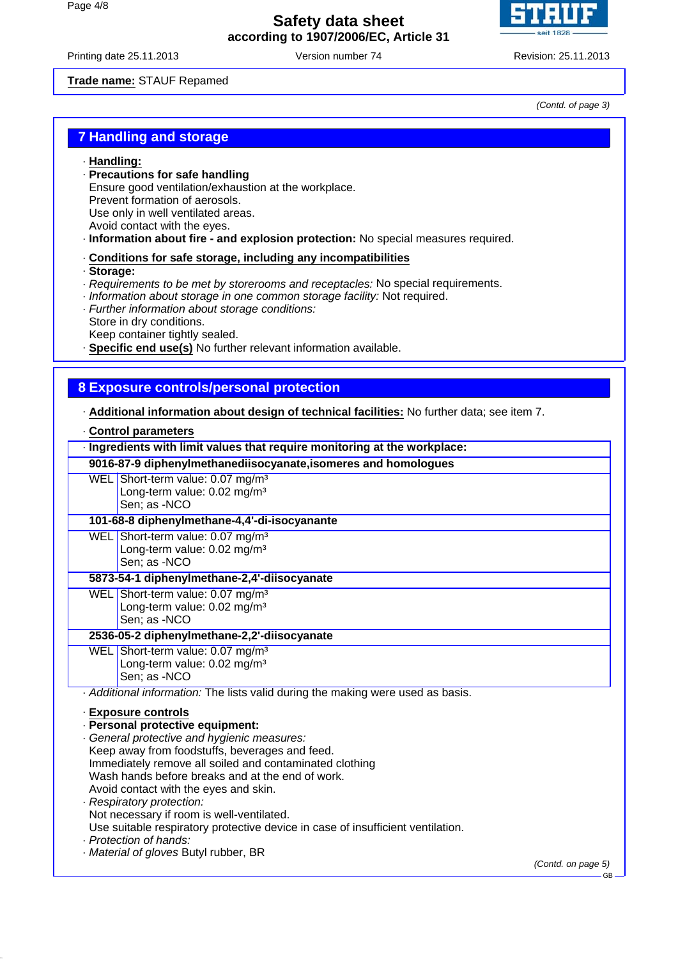

Printing date 25.11.2013 Version number 74 Revision: 25.11.2013

#### **Trade name:** STAUF Repamed

*(Contd. of page 3)*

## **7 Handling and storage**

#### · **Handling:**

- · **Precautions for safe handling**
	- Ensure good ventilation/exhaustion at the workplace.
- Prevent formation of aerosols.
- Use only in well ventilated areas.
- Avoid contact with the eyes.
- · **Information about fire and explosion protection:** No special measures required.

#### · **Conditions for safe storage, including any incompatibilities**

- · **Storage:**
- · *Requirements to be met by storerooms and receptacles:* No special requirements.
- · *Information about storage in one common storage facility:* Not required.
- · *Further information about storage conditions:*
- Store in dry conditions.

Keep container tightly sealed.

· **Specific end use(s)** No further relevant information available.

#### **8 Exposure controls/personal protection**

· **Additional information about design of technical facilities:** No further data; see item 7.

#### · **Control parameters**

| · Ingredients with limit values that require monitoring at the workplace:                                                                                                                                                                                                                                                                                                                                                                                                                                                                         |                            |
|---------------------------------------------------------------------------------------------------------------------------------------------------------------------------------------------------------------------------------------------------------------------------------------------------------------------------------------------------------------------------------------------------------------------------------------------------------------------------------------------------------------------------------------------------|----------------------------|
| 9016-87-9 diphenylmethanediisocyanate, isomeres and homologues                                                                                                                                                                                                                                                                                                                                                                                                                                                                                    |                            |
| WEL Short-term value: 0.07 mg/m <sup>3</sup><br>Long-term value: 0.02 mg/m <sup>3</sup><br>Sen; as -NCO                                                                                                                                                                                                                                                                                                                                                                                                                                           |                            |
| 101-68-8 diphenylmethane-4,4'-di-isocyanante                                                                                                                                                                                                                                                                                                                                                                                                                                                                                                      |                            |
| WEL Short-term value: 0.07 mg/m <sup>3</sup><br>Long-term value: 0.02 mg/m <sup>3</sup><br>Sen; as -NCO                                                                                                                                                                                                                                                                                                                                                                                                                                           |                            |
| 5873-54-1 diphenylmethane-2,4'-diisocyanate                                                                                                                                                                                                                                                                                                                                                                                                                                                                                                       |                            |
| WEL Short-term value: 0.07 mg/m <sup>3</sup><br>Long-term value: 0.02 mg/m <sup>3</sup><br>Sen; as -NCO                                                                                                                                                                                                                                                                                                                                                                                                                                           |                            |
| 2536-05-2 diphenylmethane-2,2'-diisocyanate                                                                                                                                                                                                                                                                                                                                                                                                                                                                                                       |                            |
| WEL Short-term value: 0.07 mg/m <sup>3</sup><br>Long-term value: 0.02 mg/m <sup>3</sup><br>Sen: as -NCO                                                                                                                                                                                                                                                                                                                                                                                                                                           |                            |
| Additional information: The lists valid during the making were used as basis.                                                                                                                                                                                                                                                                                                                                                                                                                                                                     |                            |
| <b>Exposure controls</b><br>· Personal protective equipment:<br>General protective and hygienic measures:<br>Keep away from foodstuffs, beverages and feed.<br>Immediately remove all soiled and contaminated clothing<br>Wash hands before breaks and at the end of work.<br>Avoid contact with the eyes and skin.<br>· Respiratory protection:<br>Not necessary if room is well-ventilated.<br>Use suitable respiratory protective device in case of insufficient ventilation.<br>· Protection of hands:<br>Material of gloves Butyl rubber, BR |                            |
|                                                                                                                                                                                                                                                                                                                                                                                                                                                                                                                                                   | (Contd. on page 5)<br>- GB |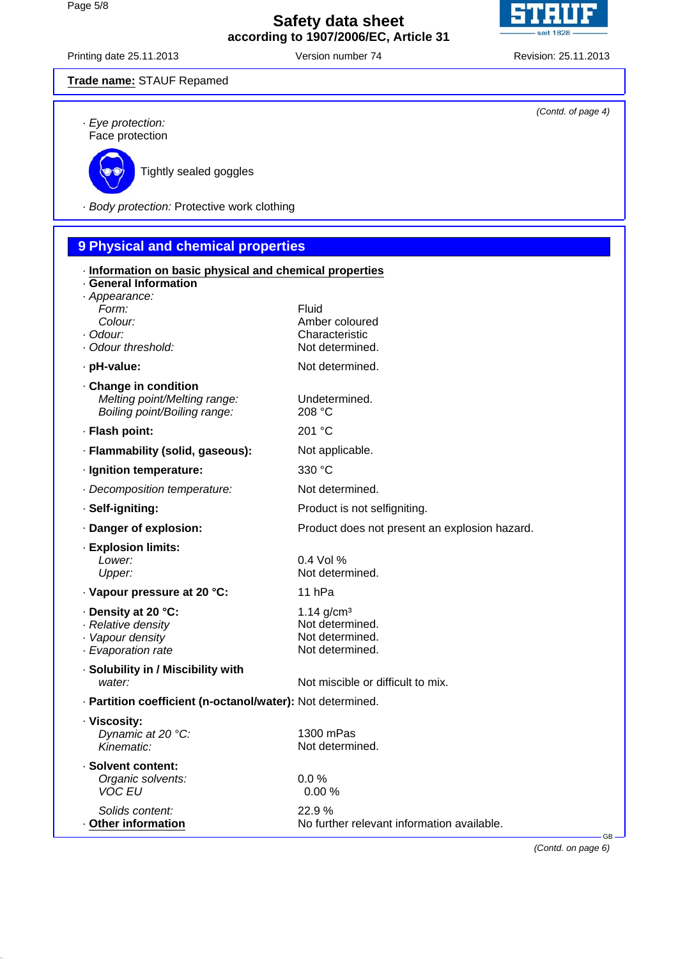

Printing date 25.11.2013 Version number 74 Revision: 25.11.2013

| Trade name: STAUF Repamed                                                                              |                                                                                   |                    |
|--------------------------------------------------------------------------------------------------------|-----------------------------------------------------------------------------------|--------------------|
| · Eye protection:<br>Face protection                                                                   |                                                                                   | (Contd. of page 4) |
| Tightly sealed goggles                                                                                 |                                                                                   |                    |
| · Body protection: Protective work clothing                                                            |                                                                                   |                    |
| 9 Physical and chemical properties                                                                     |                                                                                   |                    |
| · Information on basic physical and chemical properties<br><b>General Information</b><br>· Appearance: |                                                                                   |                    |
| Form:<br>Colour:<br>· Odour:<br>· Odour threshold:                                                     | Fluid<br>Amber coloured<br>Characteristic<br>Not determined.                      |                    |
| · pH-value:                                                                                            | Not determined.                                                                   |                    |
| . Change in condition<br>Melting point/Melting range:<br>Boiling point/Boiling range:                  | Undetermined.<br>208 °C                                                           |                    |
| · Flash point:                                                                                         | 201 °C                                                                            |                    |
| · Flammability (solid, gaseous):                                                                       | Not applicable.                                                                   |                    |
| · Ignition temperature:                                                                                | 330 °C                                                                            |                    |
| · Decomposition temperature:                                                                           | Not determined.                                                                   |                    |
| · Self-igniting:                                                                                       | Product is not selfigniting.                                                      |                    |
| · Danger of explosion:                                                                                 | Product does not present an explosion hazard.                                     |                    |
| · Explosion limits:<br>Lower:<br>Upper:                                                                | 0.4 Vol %<br>Not determined.                                                      |                    |
| · Vapour pressure at 20 °C:                                                                            | 11 <sub>hPa</sub>                                                                 |                    |
| · Density at 20 °C:<br>· Relative density<br>· Vapour density<br>· Evaporation rate                    | $1.14$ g/cm <sup>3</sup><br>Not determined.<br>Not determined.<br>Not determined. |                    |
| · Solubility in / Miscibility with<br>water:                                                           | Not miscible or difficult to mix.                                                 |                    |
| · Partition coefficient (n-octanol/water): Not determined.                                             |                                                                                   |                    |
| · Viscosity:<br>Dynamic at 20 °C:<br>Kinematic:                                                        | 1300 mPas<br>Not determined.                                                      |                    |
| · Solvent content:<br>Organic solvents:<br><b>VOC EU</b>                                               | 0.0%<br>0.00%                                                                     |                    |
| Solids content:<br>Other information                                                                   | 22.9%<br>No further relevant information available.                               | <b>GB</b>          |

*(Contd. on page 6)*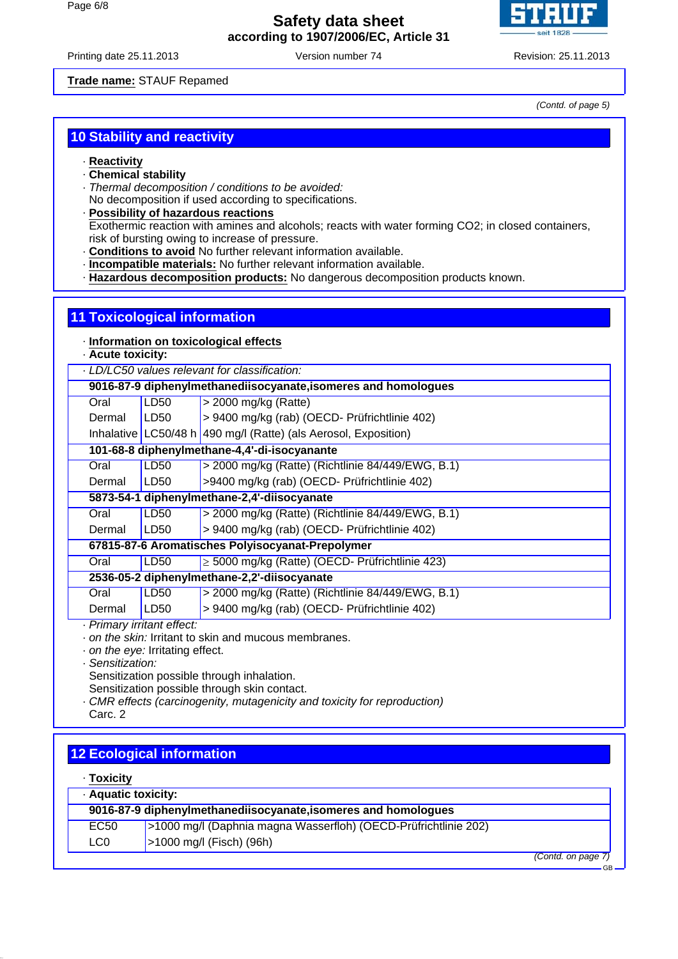

Printing date 25.11.2013 Version number 74 Revision: 25.11.2013

**Trade name:** STAUF Repamed

*(Contd. of page 5)*

GB

# **10 Stability and reactivity**

- · **Reactivity**
- · **Chemical stability**
- · *Thermal decomposition / conditions to be avoided:*
- No decomposition if used according to specifications.
- · **Possibility of hazardous reactions** Exothermic reaction with amines and alcohols; reacts with water forming CO2; in closed containers, risk of bursting owing to increase of pressure.
- · **Conditions to avoid** No further relevant information available.
- · **Incompatible materials:** No further relevant information available.
- · **Hazardous decomposition products:** No dangerous decomposition products known.

|                                                                                      | <b>11 Toxicological information</b>                            |                                                                 |  |
|--------------------------------------------------------------------------------------|----------------------------------------------------------------|-----------------------------------------------------------------|--|
| · Information on toxicological effects<br>- Acute toxicity:                          |                                                                |                                                                 |  |
|                                                                                      | LD/LC50 values relevant for classification:                    |                                                                 |  |
|                                                                                      | 9016-87-9 diphenylmethanediisocyanate, isomeres and homologues |                                                                 |  |
| Oral                                                                                 | LD50                                                           | $>$ 2000 mg/kg (Ratte)                                          |  |
| Dermal                                                                               | LD50                                                           | > 9400 mg/kg (rab) (OECD- Prüfrichtlinie 402)                   |  |
|                                                                                      |                                                                | Inhalative LC50/48 h 490 mg/l (Ratte) (als Aerosol, Exposition) |  |
| 101-68-8 diphenylmethane-4,4'-di-isocyanante                                         |                                                                |                                                                 |  |
| Oral                                                                                 | LD50                                                           | > 2000 mg/kg (Ratte) (Richtlinie 84/449/EWG, B.1)               |  |
| Dermal                                                                               | LD50                                                           | >9400 mg/kg (rab) (OECD- Prüfrichtlinie 402)                    |  |
| 5873-54-1 diphenylmethane-2,4'-diisocyanate                                          |                                                                |                                                                 |  |
| Oral                                                                                 | <b>LD50</b>                                                    | > 2000 mg/kg (Ratte) (Richtlinie 84/449/EWG, B.1)               |  |
| Dermal                                                                               | LD50                                                           | > 9400 mg/kg (rab) (OECD- Prüfrichtlinie 402)                   |  |
| 67815-87-6 Aromatisches Polyisocyanat-Prepolymer                                     |                                                                |                                                                 |  |
| Oral                                                                                 | LD50                                                           | $\geq$ 5000 mg/kg (Ratte) (OECD- Prüfrichtlinie 423)            |  |
| 2536-05-2 diphenylmethane-2,2'-diisocyanate                                          |                                                                |                                                                 |  |
| Oral                                                                                 | LD50                                                           | > 2000 mg/kg (Ratte) (Richtlinie 84/449/EWG, B.1)               |  |
| Dermal                                                                               | LD <sub>50</sub>                                               | > 9400 mg/kg (rab) (OECD- Prüfrichtlinie 402)                   |  |
| · Primary irritant effect:                                                           |                                                                |                                                                 |  |
| on the skin: Irritant to skin and mucous membranes.<br>on the ever Irritating effect |                                                                |                                                                 |  |

- · *on the eye:* Irritating effect.
- · *Sensitization:*

Sensitization possible through inhalation.

Sensitization possible through skin contact.

- · *CMR effects (carcinogenity, mutagenicity and toxicity for reproduction)*
- Carc. 2

| <b>12 Ecological information</b>    |  |
|-------------------------------------|--|
| $\cdot$ Toxicity                    |  |
| A consideration of a set of the co- |  |

| <b>Aquatic toxicity:</b>                                       |                                                                 |                   |
|----------------------------------------------------------------|-----------------------------------------------------------------|-------------------|
| 9016-87-9 diphenylmethanediisocyanate, isomeres and homologues |                                                                 |                   |
| EC50                                                           | >1000 mg/l (Daphnia magna Wasserfloh) (OECD-Prüfrichtlinie 202) |                   |
| LC0                                                            | >1000 mg/l (Fisch) (96h)                                        |                   |
|                                                                |                                                                 | (Contd. on page 7 |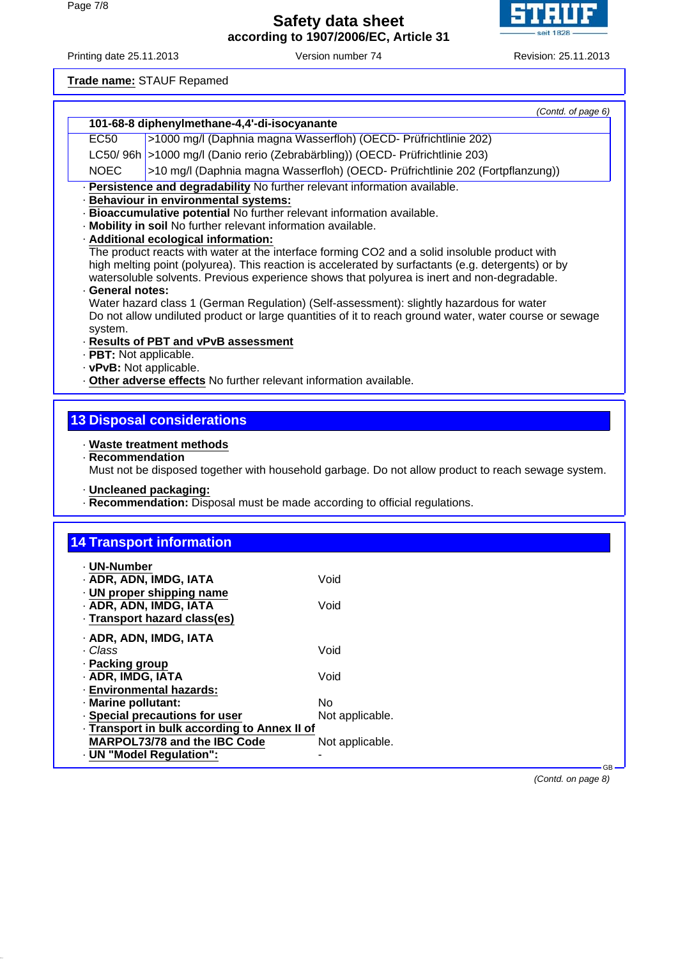Printing date 25.11.2013 Version number 74 Revision: 25.11.2013

**Trade name:** STAUF Repamed *(Contd. of page 6)* **101-68-8 diphenylmethane-4,4'-di-isocyanante** EC50 >1000 mg/l (Daphnia magna Wasserfloh) (OECD- Prüfrichtlinie 202) LC50/ 96h >1000 mg/l (Danio rerio (Zebrabärbling)) (OECD- Prüfrichtlinie 203) NOEC >10 mg/l (Daphnia magna Wasserfloh) (OECD- Prüfrichtlinie 202 (Fortpflanzung)) · **Persistence and degradability** No further relevant information available. · **Behaviour in environmental systems:** · **Bioaccumulative potential** No further relevant information available. · **Mobility in soil** No further relevant information available. · **Additional ecological information:** The product reacts with water at the interface forming CO2 and a solid insoluble product with high melting point (polyurea). This reaction is accelerated by surfactants (e.g. detergents) or by watersoluble solvents. Previous experience shows that polyurea is inert and non-degradable. · **General notes:** Water hazard class 1 (German Regulation) (Self-assessment): slightly hazardous for water Do not allow undiluted product or large quantities of it to reach ground water, water course or sewage system. · **Results of PBT and vPvB assessment** · **PBT:** Not applicable. · **vPvB:** Not applicable. · **Other adverse effects** No further relevant information available. **13 Disposal considerations** · **Waste treatment methods** · **Recommendation** Must not be disposed together with household garbage. Do not allow product to reach sewage system. · **Uncleaned packaging: Recommendation:** Disposal must be made according to official regulations. **14 Transport information** · **UN-Number** · **ADR, ADN, IMDG, IATA** Void · **UN proper shipping name** · **ADR, ADN, IMDG, IATA** Void · **Transport hazard class(es)** · **ADR, ADN, IMDG, IATA** · *Class* Void · **Packing group** · **ADR, IMDG, IATA** Void · **Environmental hazards:** · **Marine pollutant:** No · **Special precautions for user** Not applicable. · **Transport in bulk according to Annex II of MARPOL73/78 and the IBC Code** Not applicable. · **UN "Model Regulation":** - GB

*(Contd. on page 8)*